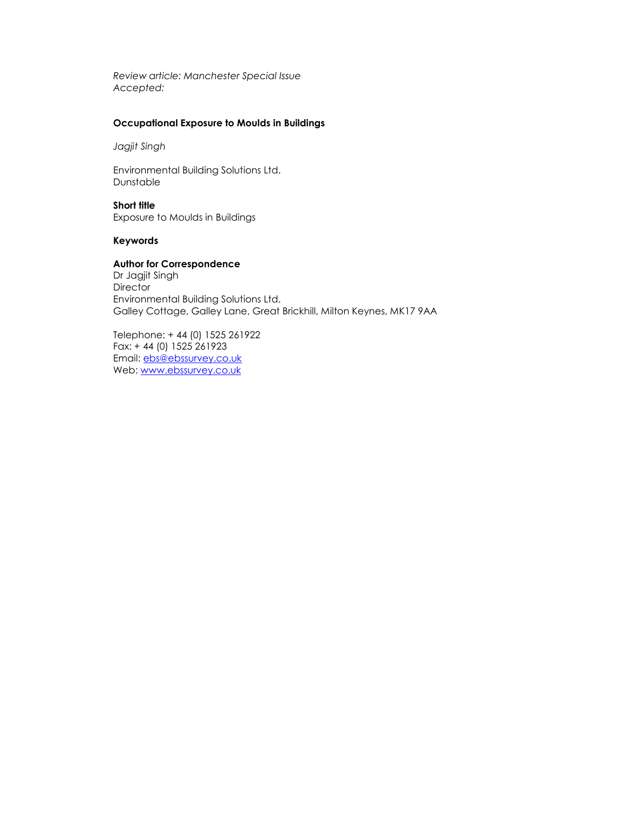Review article: Manchester Special Issue Accepted:

# Occupational Exposure to Moulds in Buildings

Jagjit Singh

Environmental Building Solutions Ltd. Dunstable

Short title Exposure to Moulds in Buildings

## Keywords

# Author for Correspondence

Dr Jagjit Singh **Director** Environmental Building Solutions Ltd. Galley Cottage, Galley Lane, Great Brickhill, Milton Keynes, MK17 9AA

Telephone: + 44 (0) 1525 261922 Fax: + 44 (0) 1525 261923 Email: ebs@ebssurvey.co.uk Web: www.ebssurvey.co.uk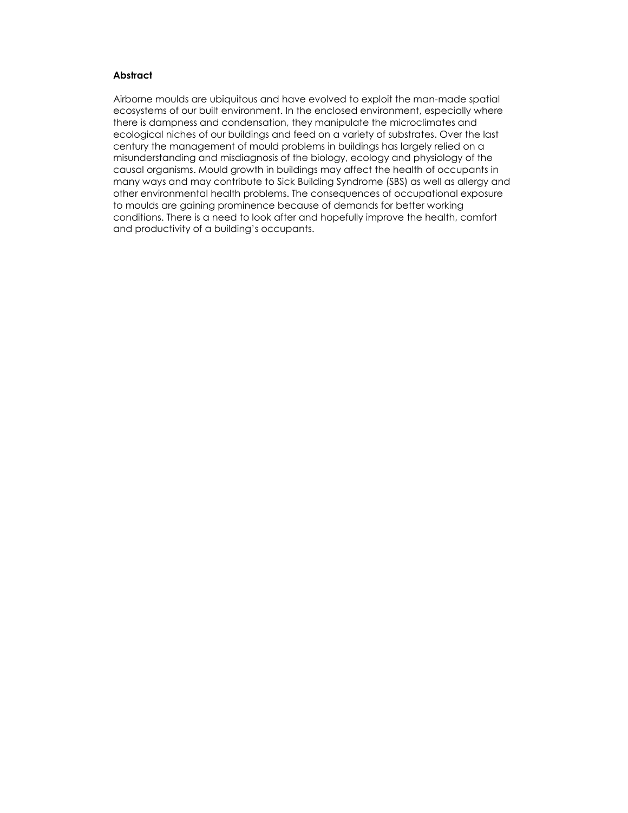# **Abstract**

Airborne moulds are ubiquitous and have evolved to exploit the man-made spatial ecosystems of our built environment. In the enclosed environment, especially where there is dampness and condensation, they manipulate the microclimates and ecological niches of our buildings and feed on a variety of substrates. Over the last century the management of mould problems in buildings has largely relied on a misunderstanding and misdiagnosis of the biology, ecology and physiology of the causal organisms. Mould growth in buildings may affect the health of occupants in many ways and may contribute to Sick Building Syndrome (SBS) as well as allergy and other environmental health problems. The consequences of occupational exposure to moulds are gaining prominence because of demands for better working conditions. There is a need to look after and hopefully improve the health, comfort and productivity of a building's occupants.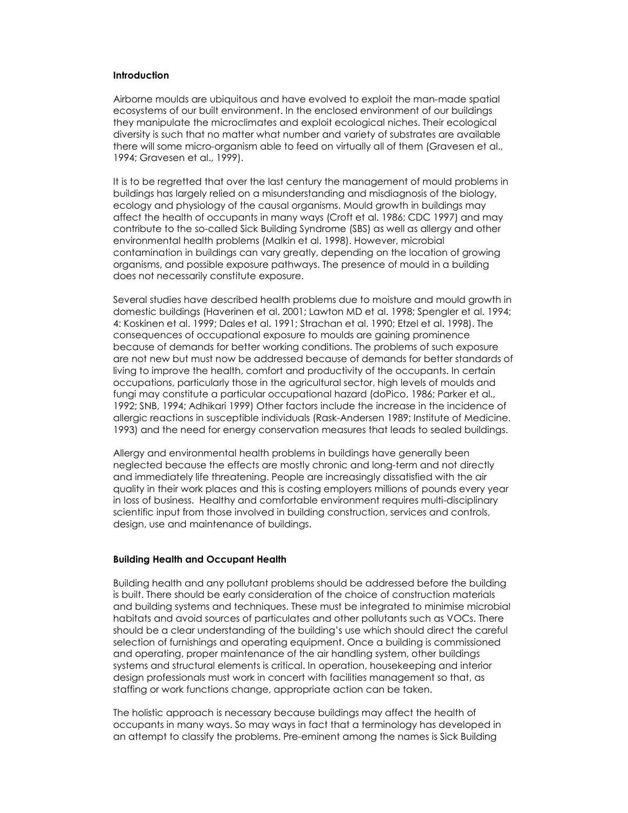#### **Introduction**

Airborne moulds are ubiquitous and have evolved to exploit the man-made spatial ecosystems of our built environment. In the enclosed environment of our buildings they manipulate the microclimates and exploit ecological niches. Their ecological diversity is such that no matter what number and variety of substrates are available there will some micro-organism able to feed on virtually all of them (Gravesen et al., 1994; Gravesen et al., 1999).

It is to be regretted that over the last century the management of mould problems in buildings has largely relied on a misunderstanding and misdiagnosis of the biology, ecology and physiology of the causal organisms. Mould growth in buildings may affect the health of occupants in many ways (Croft et al. 1986; CDC 1997) and may contribute to the so-called Sick Building Syndrome (SBS) as well as allergy and other environmental health problems (Malkin et al. 1998). However, microbial contamination in buildings can vary greatly, depending on the location of growing organisms, and possible exposure pathways. The presence of mould in a building does not necessarily constitute exposure.

Several studies have described health problems due to moisture and mould growth in domestic buildings (Haverinen et al. 2001; Lawton MD et al. 1998; Spengler et al. 1994; 4: Koskinen et al. 1999; Dales et al. 1991; Strachan et al. 1990; Etzel et al. 1998). The consequences of occupational exposure to moulds are gaining prominence because of demands for better working conditions. The problems of such exposure are not new but must now be addressed because of demands for better standards of living to improve the health, comfort and productivity of the occupants. In certain occupations, particularly those in the agricultural sector, high levels of moulds and fungi may constitute a particular occupational hazard (doPico, 1986; Parker et al., 1992; SNB, 1994; Adhikari 1999) Other factors include the increase in the incidence of allergic reactions in susceptible individuals (Rask-Andersen 1989; Institute of Medicine. 1993) and the need for energy conservation measures that leads to sealed buildings.

Allergy and environmental health problems in buildings have generally been neglected because the effects are mostly chronic and long-term and not directly and immediately life threatening. People are increasingly dissatisfied with the air quality in their work places and this is costing employers millions of pounds every year in loss of business. Healthy and comfortable environment requires multi-disciplinary scientific input from those involved in building construction, services and controls, design, use and maintenance of buildings.

## Building Health and Occupant Health

Building health and any pollutant problems should be addressed before the building is built. There should be early consideration of the choice of construction materials and building systems and techniques. These must be integrated to minimise microbial habitats and avoid sources of particulates and other pollutants such as VOCs. There should be a clear understanding of the building's use which should direct the careful selection of furnishings and operating equipment. Once a building is commissioned and operating, proper maintenance of the air handling system, other buildings systems and structural elements is critical. In operation, housekeeping and interior design professionals must work in concert with facilities management so that, as staffing or work functions change, appropriate action can be taken.

The holistic approach is necessary because buildings may affect the health of occupants in many ways. So may ways in fact that a terminology has developed in an attempt to classify the problems. Pre-eminent among the names is Sick Building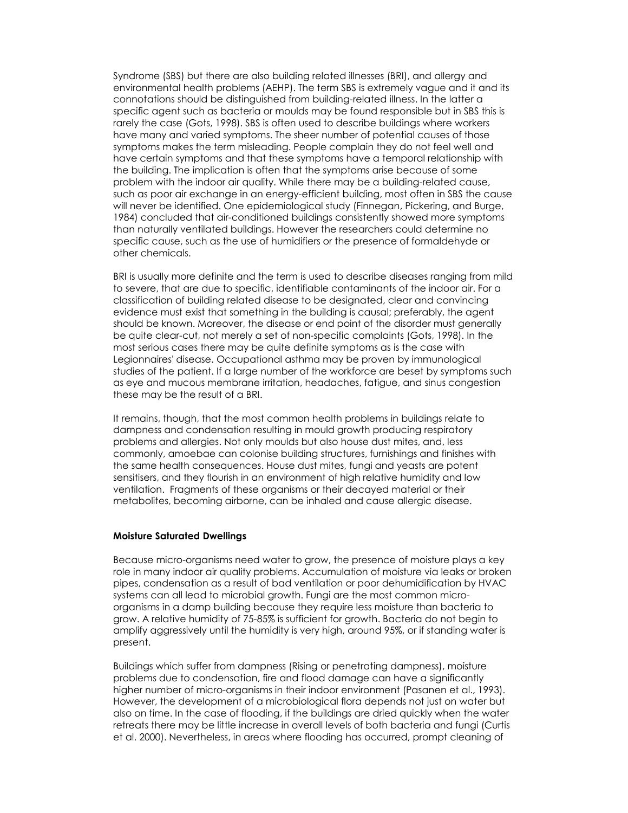Syndrome (SBS) but there are also building related illnesses (BRI), and allergy and environmental health problems (AEHP). The term SBS is extremely vague and it and its connotations should be distinguished from building-related illness. In the latter a specific agent such as bacteria or moulds may be found responsible but in SBS this is rarely the case (Gots, 1998). SBS is often used to describe buildings where workers have many and varied symptoms. The sheer number of potential causes of those symptoms makes the term misleading. People complain they do not feel well and have certain symptoms and that these symptoms have a temporal relationship with the building. The implication is often that the symptoms arise because of some problem with the indoor air quality. While there may be a building-related cause, such as poor air exchange in an energy-efficient building, most often in SBS the cause will never be identified. One epidemiological study (Finnegan, Pickering, and Burge, 1984) concluded that air-conditioned buildings consistently showed more symptoms than naturally ventilated buildings. However the researchers could determine no specific cause, such as the use of humidifiers or the presence of formaldehyde or other chemicals.

BRI is usually more definite and the term is used to describe diseases ranging from mild to severe, that are due to specific, identifiable contaminants of the indoor air. For a classification of building related disease to be designated, clear and convincing evidence must exist that something in the building is causal; preferably, the agent should be known. Moreover, the disease or end point of the disorder must generally be quite clear-cut, not merely a set of non-specific complaints (Gots, 1998). In the most serious cases there may be quite definite symptoms as is the case with Legionnaires' disease. Occupational asthma may be proven by immunological studies of the patient. If a large number of the workforce are beset by symptoms such as eye and mucous membrane irritation, headaches, fatigue, and sinus congestion these may be the result of a BRI.

It remains, though, that the most common health problems in buildings relate to dampness and condensation resulting in mould growth producing respiratory problems and allergies. Not only moulds but also house dust mites, and, less commonly, amoebae can colonise building structures, furnishings and finishes with the same health consequences. House dust mites, fungi and yeasts are potent sensitisers, and they flourish in an environment of high relative humidity and low ventilation. Fragments of these organisms or their decayed material or their metabolites, becoming airborne, can be inhaled and cause allergic disease.

## Moisture Saturated Dwellings

Because micro-organisms need water to grow, the presence of moisture plays a key role in many indoor air quality problems. Accumulation of moisture via leaks or broken pipes, condensation as a result of bad ventilation or poor dehumidification by HVAC systems can all lead to microbial growth. Fungi are the most common microorganisms in a damp building because they require less moisture than bacteria to grow. A relative humidity of 75-85% is sufficient for growth. Bacteria do not begin to amplify aggressively until the humidity is very high, around 95%, or if standing water is present.

Buildings which suffer from dampness (Rising or penetrating dampness), moisture problems due to condensation, fire and flood damage can have a significantly higher number of micro-organisms in their indoor environment (Pasanen et al., 1993). However, the development of a microbiological flora depends not just on water but also on time. In the case of flooding, if the buildings are dried quickly when the water retreats there may be little increase in overall levels of both bacteria and fungi (Curtis et al. 2000). Nevertheless, in areas where flooding has occurred, prompt cleaning of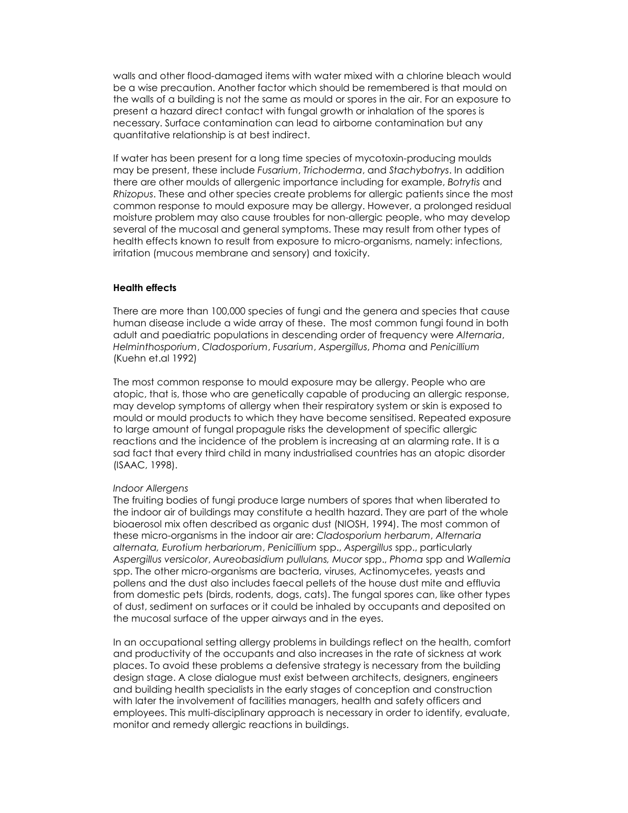walls and other flood-damaged items with water mixed with a chlorine bleach would be a wise precaution. Another factor which should be remembered is that mould on the walls of a building is not the same as mould or spores in the air. For an exposure to present a hazard direct contact with fungal growth or inhalation of the spores is necessary. Surface contamination can lead to airborne contamination but any quantitative relationship is at best indirect.

If water has been present for a long time species of mycotoxin-producing moulds may be present, these include Fusarium, Trichoderma, and Stachybotrys. In addition there are other moulds of allergenic importance including for example, Botrytis and Rhizopus. These and other species create problems for allergic patients since the most common response to mould exposure may be allergy. However, a prolonged residual moisture problem may also cause troubles for non-allergic people, who may develop several of the mucosal and general symptoms. These may result from other types of health effects known to result from exposure to micro-organisms, namely: infections, irritation (mucous membrane and sensory) and toxicity.

# Health effects

There are more than 100,000 species of fungi and the genera and species that cause human disease include a wide array of these. The most common fungi found in both adult and paediatric populations in descending order of frequency were Alternaria, Helminthosporium, Cladosporium, Fusarium, Aspergillus, Phoma and Penicillium (Kuehn et.al 1992)

The most common response to mould exposure may be allergy. People who are atopic, that is, those who are genetically capable of producing an allergic response, may develop symptoms of allergy when their respiratory system or skin is exposed to mould or mould products to which they have become sensitised. Repeated exposure to large amount of fungal propagule risks the development of specific allergic reactions and the incidence of the problem is increasing at an alarming rate. It is a sad fact that every third child in many industrialised countries has an atopic disorder (ISAAC, 1998).

#### Indoor Allergens

The fruiting bodies of fungi produce large numbers of spores that when liberated to the indoor air of buildings may constitute a health hazard. They are part of the whole bioaerosol mix often described as organic dust (NIOSH, 1994). The most common of these micro-organisms in the indoor air are: Cladosporium herbarum, Alternaria alternata, Eurotium herbariorum, Penicillium spp., Aspergillus spp., particularly Aspergillus versicolor, Aureobasidium pullulans, Mucor spp., Phoma spp and Wallemia spp. The other micro-organisms are bacteria, viruses, Actinomycetes, yeasts and pollens and the dust also includes faecal pellets of the house dust mite and effluvia from domestic pets (birds, rodents, dogs, cats). The fungal spores can, like other types of dust, sediment on surfaces or it could be inhaled by occupants and deposited on the mucosal surface of the upper airways and in the eyes.

In an occupational setting allergy problems in buildings reflect on the health, comfort and productivity of the occupants and also increases in the rate of sickness at work places. To avoid these problems a defensive strategy is necessary from the building design stage. A close dialogue must exist between architects, designers, engineers and building health specialists in the early stages of conception and construction with later the involvement of facilities managers, health and safety officers and employees. This multi-disciplinary approach is necessary in order to identify, evaluate, monitor and remedy allergic reactions in buildings.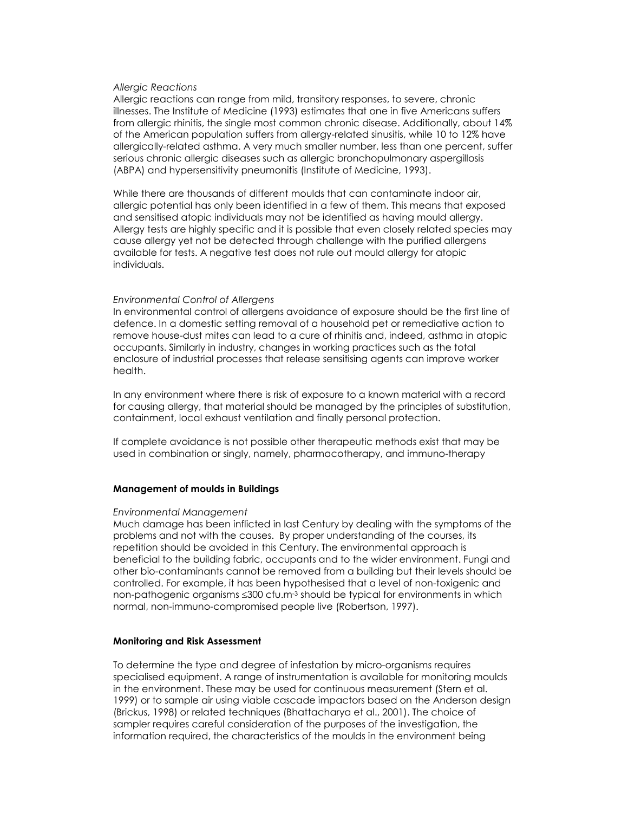### Allergic Reactions

Allergic reactions can range from mild, transitory responses, to severe, chronic illnesses. The Institute of Medicine (1993) estimates that one in five Americans suffers from allergic rhinitis, the single most common chronic disease. Additionally, about 14% of the American population suffers from allergy-related sinusitis, while 10 to 12% have allergically-related asthma. A very much smaller number, less than one percent, suffer serious chronic allergic diseases such as allergic bronchopulmonary aspergillosis (ABPA) and hypersensitivity pneumonitis (Institute of Medicine, 1993).

While there are thousands of different moulds that can contaminate indoor air, allergic potential has only been identified in a few of them. This means that exposed and sensitised atopic individuals may not be identified as having mould allergy. Allergy tests are highly specific and it is possible that even closely related species may cause allergy yet not be detected through challenge with the purified allergens available for tests. A negative test does not rule out mould allergy for atopic individuals.

### Environmental Control of Allergens

In environmental control of allergens avoidance of exposure should be the first line of defence. In a domestic setting removal of a household pet or remediative action to remove house-dust mites can lead to a cure of rhinitis and, indeed, asthma in atopic occupants. Similarly in industry, changes in working practices such as the total enclosure of industrial processes that release sensitising agents can improve worker health.

In any environment where there is risk of exposure to a known material with a record for causing allergy, that material should be managed by the principles of substitution, containment, local exhaust ventilation and finally personal protection.

If complete avoidance is not possible other therapeutic methods exist that may be used in combination or singly, namely, pharmacotherapy, and immuno-therapy

### Management of moulds in Buildings

#### Environmental Management

Much damage has been inflicted in last Century by dealing with the symptoms of the problems and not with the causes. By proper understanding of the courses, its repetition should be avoided in this Century. The environmental approach is beneficial to the building fabric, occupants and to the wider environment. Fungi and other bio-contaminants cannot be removed from a building but their levels should be controlled. For example, it has been hypothesised that a level of non-toxigenic and non-pathogenic organisms ≤300 cfu.m<sup>-3</sup> should be typical for environments in which normal, non-immuno-compromised people live (Robertson, 1997).

### Monitoring and Risk Assessment

To determine the type and degree of infestation by micro-organisms requires specialised equipment. A range of instrumentation is available for monitoring moulds in the environment. These may be used for continuous measurement (Stern et al. 1999) or to sample air using viable cascade impactors based on the Anderson design (Brickus, 1998) or related techniques (Bhattacharya et al., 2001). The choice of sampler requires careful consideration of the purposes of the investigation, the information required, the characteristics of the moulds in the environment being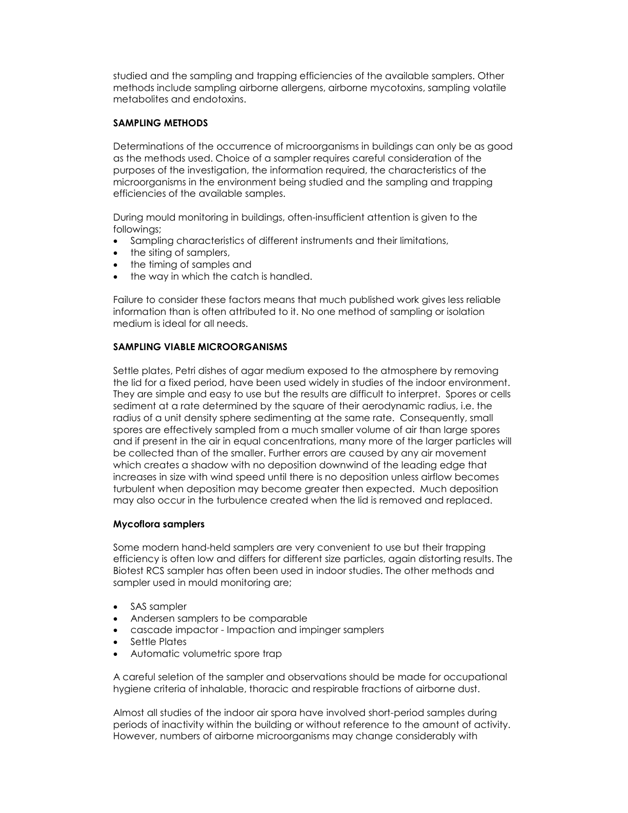studied and the sampling and trapping efficiencies of the available samplers. Other methods include sampling airborne allergens, airborne mycotoxins, sampling volatile metabolites and endotoxins.

# SAMPLING METHODS

Determinations of the occurrence of microorganisms in buildings can only be as good as the methods used. Choice of a sampler requires careful consideration of the purposes of the investigation, the information required, the characteristics of the microorganisms in the environment being studied and the sampling and trapping efficiencies of the available samples.

During mould monitoring in buildings, often-insufficient attention is given to the followings;

- Sampling characteristics of different instruments and their limitations,
- the siting of samplers,
- the timing of samples and
- the way in which the catch is handled.

Failure to consider these factors means that much published work gives less reliable information than is often attributed to it. No one method of sampling or isolation medium is ideal for all needs.

# SAMPLING VIABLE MICROORGANISMS

Settle plates, Petri dishes of agar medium exposed to the atmosphere by removing the lid for a fixed period, have been used widely in studies of the indoor environment. They are simple and easy to use but the results are difficult to interpret. Spores or cells sediment at a rate determined by the square of their aerodynamic radius, i.e. the radius of a unit density sphere sedimenting at the same rate. Consequently, small spores are effectively sampled from a much smaller volume of air than large spores and if present in the air in equal concentrations, many more of the larger particles will be collected than of the smaller. Further errors are caused by any air movement which creates a shadow with no deposition downwind of the leading edge that increases in size with wind speed until there is no deposition unless airflow becomes turbulent when deposition may become greater then expected. Much deposition may also occur in the turbulence created when the lid is removed and replaced.

# Mycoflora samplers

Some modern hand-held samplers are very convenient to use but their trapping efficiency is often low and differs for different size particles, again distorting results. The Biotest RCS sampler has often been used in indoor studies. The other methods and sampler used in mould monitoring are;

- SAS sampler
- Andersen samplers to be comparable
- cascade impactor Impaction and impinger samplers
- Settle Plates
- Automatic volumetric spore trap

A careful seletion of the sampler and observations should be made for occupational hygiene criteria of inhalable, thoracic and respirable fractions of airborne dust.

Almost all studies of the indoor air spora have involved short-period samples during periods of inactivity within the building or without reference to the amount of activity. However, numbers of airborne microorganisms may change considerably with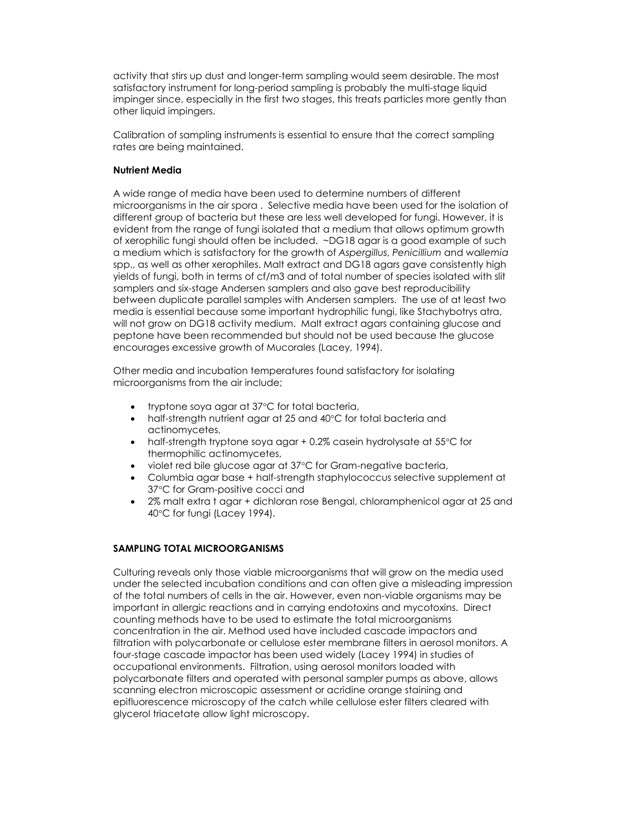activity that stirs up dust and longer-term sampling would seem desirable. The most satisfactory instrument for long-period sampling is probably the multi-stage liquid impinger since, especially in the first two stages, this treats particles more gently than other liquid impingers.

Calibration of sampling instruments is essential to ensure that the correct sampling rates are being maintained.

# Nutrient Media

A wide range of media have been used to determine numbers of different microorganisms in the air spora . Selective media have been used for the isolation of different group of bacteria but these are less well developed for fungi. However, it is evident from the range of fungi isolated that a medium that allows optimum growth of xerophilic fungi should often be included. ~DG18 agar is a good example of such a medium which is satisfactory for the growth of Aspergillus, Penicillium and wallemia spp., as well as other xerophiles. Malt extract and DG18 agars gave consistently high yields of fungi, both in terms of cf/m3 and of total number of species isolated with slit samplers and six-stage Andersen samplers and also gave best reproducibility between duplicate parallel samples with Andersen samplers. The use of at least two media is essential because some important hydrophilic fungi, like Stachybotrys atra, will not grow on DG18 activity medium. Malt extract agars containing glucose and peptone have been recommended but should not be used because the glucose encourages excessive growth of Mucorales (Lacey, 1994).

Other media and incubation temperatures found satisfactory for isolating microorganisms from the air include;

- tryptone soya agar at 37°C for total bacteria,
- half-strength nutrient agar at 25 and 40°C for total bacteria and actinomycetes,
- half-strength tryptone soya agar + 0.2% casein hydrolysate at 55°C for thermophilic actinomycetes,
- violet red bile glucose agar at 37°C for Gram-negative bacteria,
- Columbia agar base + half-strength staphylococcus selective supplement at 37°C for Gram-positive cocci and
- 2% malt extra t agar + dichloran rose Bengal, chloramphenicol agar at 25 and 40°C for fungi (Lacey 1994).

# SAMPLING TOTAL MICROORGANISMS

Culturing reveals only those viable microorganisms that will grow on the media used under the selected incubation conditions and can often give a misleading impression of the total numbers of cells in the air. However, even non-viable organisms may be important in allergic reactions and in carrying endotoxins and mycotoxins. Direct counting methods have to be used to estimate the total microorganisms concentration in the air. Method used have included cascade impactors and filtration with polycarbonate or cellulose ester membrane filters in aerosol monitors. A four-stage cascade impactor has been used widely (Lacey 1994) in studies of occupational environments. Filtration, using aerosol monitors loaded with polycarbonate filters and operated with personal sampler pumps as above, allows scanning electron microscopic assessment or acridine orange staining and epifluorescence microscopy of the catch while cellulose ester filters cleared with glycerol triacetate allow light microscopy.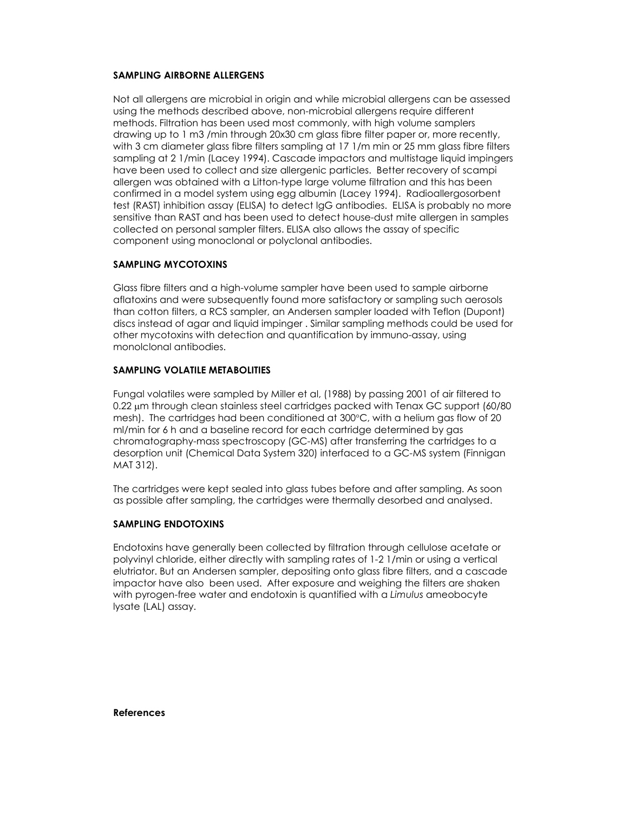## SAMPLING AIRBORNE ALLERGENS

Not all allergens are microbial in origin and while microbial allergens can be assessed using the methods described above, non-microbial allergens require different methods. Filtration has been used most commonly, with high volume samplers drawing up to 1 m3 /min through 20x30 cm glass fibre filter paper or, more recently, with 3 cm diameter glass fibre filters sampling at 17 1/m min or 25 mm glass fibre filters sampling at 2 1/min (Lacey 1994). Cascade impactors and multistage liquid impingers have been used to collect and size allergenic particles. Better recovery of scampi allergen was obtained with a Litton-type large volume filtration and this has been confirmed in a model system using egg albumin (Lacey 1994). Radioallergosorbent test (RAST) inhibition assay (ELISA) to detect lgG antibodies. ELISA is probably no more sensitive than RAST and has been used to detect house-dust mite allergen in samples collected on personal sampler filters. ELISA also allows the assay of specific component using monoclonal or polyclonal antibodies.

# SAMPLING MYCOTOXINS

Glass fibre filters and a high-volume sampler have been used to sample airborne aflatoxins and were subsequently found more satisfactory or sampling such aerosols than cotton filters, a RCS sampler, an Andersen sampler loaded with Teflon (Dupont) discs instead of agar and liquid impinger . Similar sampling methods could be used for other mycotoxins with detection and quantification by immuno-assay, using monolclonal antibodies.

# SAMPLING VOLATILE METABOLITIES

Fungal volatiles were sampled by Miller et al, (1988) by passing 2001 of air filtered to 0.22 µm through clean stainless steel cartridges packed with Tenax GC support (60/80 mesh). The cartridges had been conditioned at 300°C, with a helium gas flow of 20 ml/min for 6 h and a baseline record for each cartridge determined by gas chromatography-mass spectroscopy (GC-MS) after transferring the cartridges to a desorption unit (Chemical Data System 320) interfaced to a GC-MS system (Finnigan MAT 312).

The cartridges were kept sealed into glass tubes before and after sampling. As soon as possible after sampling, the cartridges were thermally desorbed and analysed.

### SAMPLING ENDOTOXINS

Endotoxins have generally been collected by filtration through cellulose acetate or polyvinyl chloride, either directly with sampling rates of 1-2 1/min or using a vertical elutriator. But an Andersen sampler, depositing onto glass fibre filters, and a cascade impactor have also been used. After exposure and weighing the filters are shaken with pyrogen-free water and endotoxin is quantified with a Limulus ameobocyte lysate (LAL) assay.

References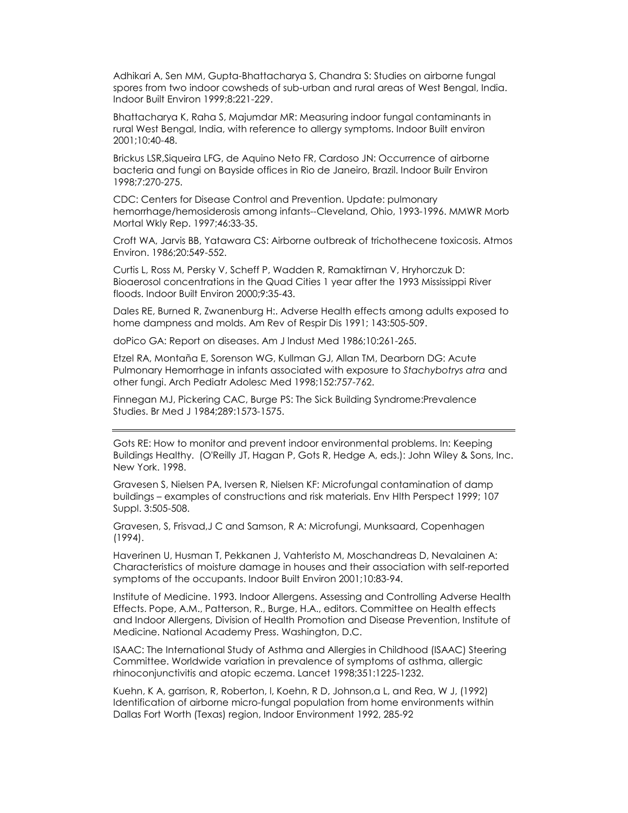Adhikari A, Sen MM, Gupta-Bhattacharya S, Chandra S: Studies on airborne fungal spores from two indoor cowsheds of sub-urban and rural areas of West Bengal, India. Indoor Built Environ 1999;8:221-229.

Bhattacharya K, Raha S, Majumdar MR: Measuring indoor fungal contaminants in rural West Bengal, India, with reference to allergy symptoms. Indoor Built environ 2001;10:40-48.

Brickus LSR,Siqueira LFG, de Aquino Neto FR, Cardoso JN: Occurrence of airborne bacteria and fungi on Bayside offices in Rio de Janeiro, Brazil. Indoor Builr Environ 1998;7:270-275.

CDC: Centers for Disease Control and Prevention. Update: pulmonary hemorrhage/hemosiderosis among infants--Cleveland, Ohio, 1993-1996. MMWR Morb Mortal Wkly Rep. 1997;46:33-35.

Croft WA, Jarvis BB, Yatawara CS: Airborne outbreak of trichothecene toxicosis. Atmos Environ. 1986;20:549-552.

Curtis L, Ross M, Persky V, Scheff P, Wadden R, Ramaktirnan V, Hryhorczuk D: Bioaerosol concentrations in the Quad Cities 1 year after the 1993 Mississippi River floods. Indoor Built Environ 2000;9:35-43.

Dales RE, Burned R, Zwanenburg H:. Adverse Health effects among adults exposed to home dampness and molds. Am Rev of Respir Dis 1991; 143:505-509.

doPico GA: Report on diseases. Am J lndust Med 1986;10:261-265.

Etzel RA, Montaña E, Sorenson WG, Kullman GJ, Allan TM, Dearborn DG: Acute Pulmonary Hemorrhage in infants associated with exposure to Stachybotrys atra and other fungi. Arch Pediatr Adolesc Med 1998;152:757-762.

Finnegan MJ, Pickering CAC, Burge PS: The Sick Building Syndrome:Prevalence Studies. Br Med J 1984;289:1573-1575.

Gots RE: How to monitor and prevent indoor environmental problems. In: Keeping Buildings Healthy. (O'Reilly JT, Hagan P, Gots R, Hedge A, eds.): John Wiley & Sons, Inc. New York. 1998.

Gravesen S, Nielsen PA, Iversen R, Nielsen KF: Microfungal contamination of damp buildings – examples of constructions and risk materials. Env Hlth Perspect 1999; 107 Suppl. 3:505-508.

Gravesen, S, Frisvad,J C and Samson, R A: Microfungi, Munksaard, Copenhagen (1994).

Haverinen U, Husman T, Pekkanen J, Vahteristo M, Moschandreas D, Nevalainen A: Characteristics of moisture damage in houses and their association with self-reported symptoms of the occupants. Indoor Built Environ 2001;10:83-94.

Institute of Medicine. 1993. Indoor Allergens. Assessing and Controlling Adverse Health Effects. Pope, A.M., Patterson, R., Burge, H.A., editors. Committee on Health effects and Indoor Allergens, Division of Health Promotion and Disease Prevention, Institute of Medicine. National Academy Press. Washington, D.C.

ISAAC: The International Study of Asthma and Allergies in Childhood (ISAAC) Steering Committee. Worldwide variation in prevalence of symptoms of asthma, allergic rhinoconjunctivitis and atopic eczema. Lancet 1998;351:1225-1232.

Kuehn, K A, garrison, R, Roberton, l, Koehn, R D, Johnson,a L, and Rea, W J, (1992) Identification of airborne micro-fungal population from home environments within Dallas Fort Worth (Texas) region, Indoor Environment 1992, 285-92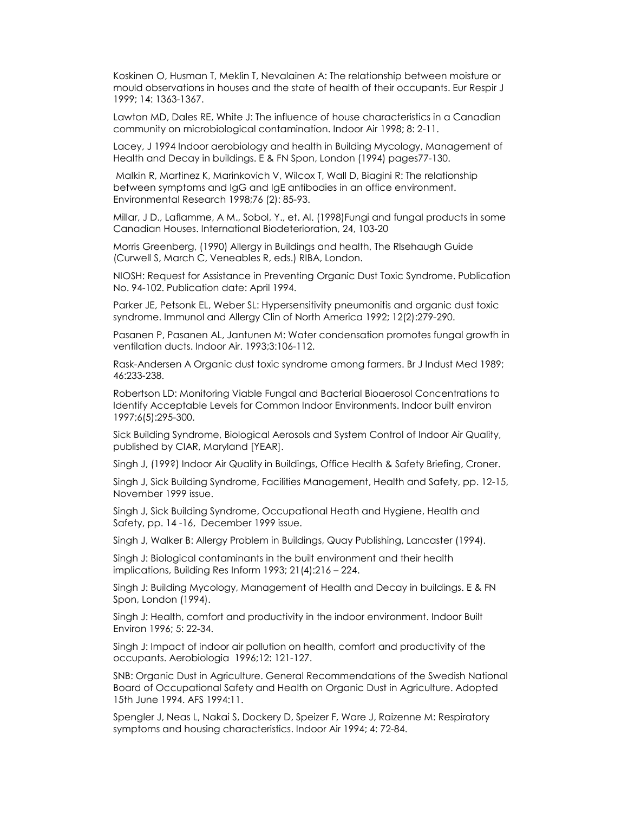Koskinen O, Husman T, Meklin T, Nevalainen A: The relationship between moisture or mould observations in houses and the state of health of their occupants. Eur Respir J 1999; 14: 1363-1367.

Lawton MD, Dales RE, White J: The influence of house characteristics in a Canadian community on microbiological contamination. Indoor Air 1998; 8: 2-11.

Lacey, J 1994 Indoor aerobiology and health in Building Mycology, Management of Health and Decay in buildings. E & FN Spon, London (1994) pages77-130.

 Malkin R, Martinez K, Marinkovich V, Wilcox T, Wall D, Biagini R: The relationship between symptoms and IgG and IgE antibodies in an office environment. Environmental Research 1998;76 (2): 85-93.

Millar, J D., Laflamme, A M., Sobol, Y., et. Al. (1998)Fungi and fungal products in some Canadian Houses. International Biodeterioration, 24, 103-20

Morris Greenberg, (1990) Allergy in Buildings and health, The Rlsehaugh Guide (Curwell S, March C, Veneables R, eds.) RIBA, London.

NIOSH: Request for Assistance in Preventing Organic Dust Toxic Syndrome. Publication No. 94-102. Publication date: April 1994.

Parker JE, Petsonk EL, Weber SL: Hypersensitivity pneumonitis and organic dust toxic syndrome. Immunol and Allergy Clin of North America 1992; 12(2):279-290.

Pasanen P, Pasanen AL, Jantunen M: Water condensation promotes fungal growth in ventilation ducts. Indoor Air. 1993;3:106-112.

Rask-Andersen A Organic dust toxic syndrome among farmers. Br J Indust Med 1989; 46:233-238.

Robertson LD: Monitoring Viable Fungal and Bacterial Bioaerosol Concentrations to Identify Acceptable Levels for Common Indoor Environments. Indoor built environ 1997;6(5):295-300.

Sick Building Syndrome, Biological Aerosols and System Control of Indoor Air Quality, published by CIAR, Maryland [YEAR].

Singh J, (199?) Indoor Air Quality in Buildings, Office Health & Safety Briefing, Croner.

Singh J, Sick Building Syndrome, Facilities Management, Health and Safety, pp. 12-15, November 1999 issue.

Singh J, Sick Building Syndrome, Occupational Heath and Hygiene, Health and Safety, pp. 14 -16, December 1999 issue.

Singh J, Walker B: Allergy Problem in Buildings, Quay Publishing, Lancaster (1994).

Singh J: Biological contaminants in the built environment and their health implications, Building Res Inform 1993; 21(4):216 – 224.

Singh J: Building Mycology, Management of Health and Decay in buildings. E & FN Spon, London (1994).

Singh J: Health, comfort and productivity in the indoor environment. Indoor Built Environ 1996; 5: 22-34.

Singh J: Impact of indoor air pollution on health, comfort and productivity of the occupants. Aerobiologia 1996;12: 121-127.

SNB: Organic Dust in Agriculture. General Recommendations of the Swedish National Board of Occupational Safety and Health on Organic Dust in Agriculture. Adopted 15th June 1994. AFS 1994:11.

Spengler J, Neas L, Nakai S, Dockery D, Speizer F, Ware J, Raizenne M: Respiratory symptoms and housing characteristics. Indoor Air 1994; 4: 72-84.